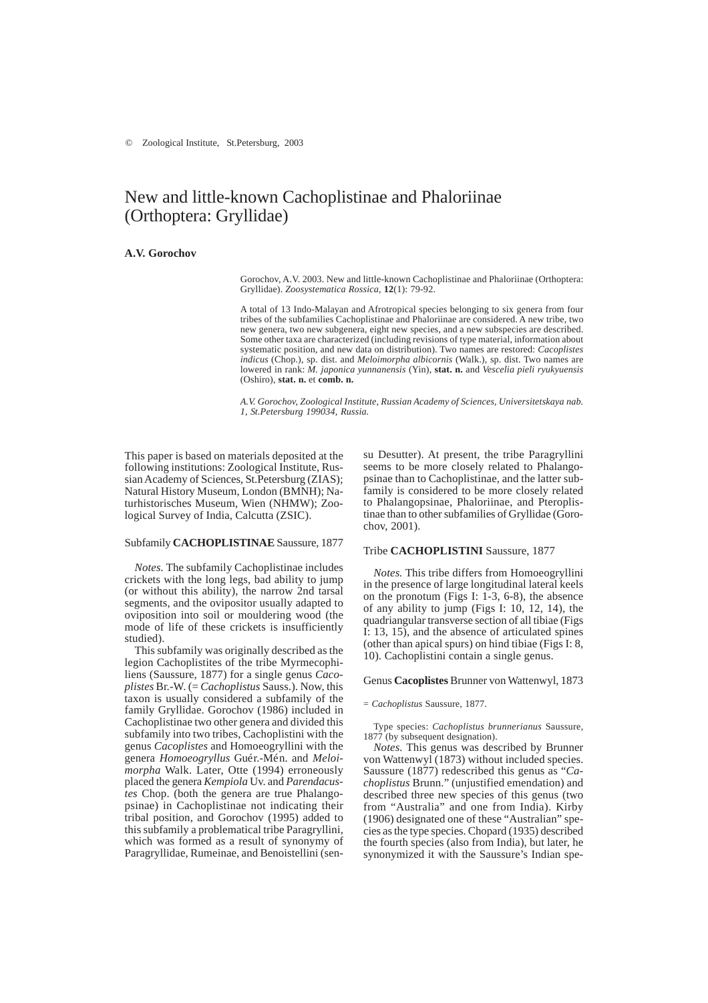# New and little-known Cachoplistinae and Phaloriinae (Orthoptera: Gryllidae)

# **A.V. Gorochov**

Gorochov, A.V. 2003. New and little-known Cachoplistinae and Phaloriinae (Orthoptera: Gryllidae). *Zoosystematica Rossica*, **12**(1): 79-92.

A total of 13 Indo-Malayan and Afrotropical species belonging to six genera from four tribes of the subfamilies Cachoplistinae and Phaloriinae are considered. A new tribe, two new genera, two new subgenera, eight new species, and a new subspecies are described. Some other taxa are characterized (including revisions of type material, information about systematic position, and new data on distribution). Two names are restored: *Cacoplistes indicus* (Chop.), sp. dist. and *Meloimorpha albicornis* (Walk.), sp. dist. Two names are lowered in rank: *M. japonica yunnanensis* (Yin), **stat. n.** and *Vescelia pieli ryukyuensis* (Oshiro), **stat. n.** et **comb. n.**

*A.V. Gorochov, Zoological Institute, Russian Academy of Sciences, Universitetskaya nab. 1, St.Petersburg 199034, Russia.*

This paper is based on materials deposited at the following institutions: Zoological Institute, Russian Academy of Sciences, St.Petersburg (ZIAS); Natural History Museum, London (BMNH); Naturhistorisches Museum, Wien (NHMW); Zoological Survey of India, Calcutta (ZSIC).

# Subfamily **CACHOPLISTINAE** Saussure, 1877

*Notes.* The subfamily Cachoplistinae includes crickets with the long legs, bad ability to jump (or without this ability), the narrow 2nd tarsal segments, and the ovipositor usually adapted to oviposition into soil or mouldering wood (the mode of life of these crickets is insufficiently studied).

This subfamily was originally described as the legion Cachoplistites of the tribe Myrmecophiliens (Saussure, 1877) for a single genus *Cacoplistes* Br.-W. (= *Cachoplistus* Sauss.). Now, this taxon is usually considered a subfamily of the family Gryllidae. Gorochov (1986) included in Cachoplistinae two other genera and divided this subfamily into two tribes, Cachoplistini with the genus *Cacoplistes* and Homoeogryllini with the genera *Homoeogryllus* Guér.-Mén. and *Meloimorpha* Walk. Later, Otte (1994) erroneously placed the genera *Kempiola* Uv. and *Parendacustes* Chop. (both the genera are true Phalangopsinae) in Cachoplistinae not indicating their tribal position, and Gorochov (1995) added to this subfamily a problematical tribe Paragryllini, which was formed as a result of synonymy of Paragryllidae, Rumeinae, and Benoistellini (sensu Desutter). At present, the tribe Paragryllini seems to be more closely related to Phalangopsinae than to Cachoplistinae, and the latter subfamily is considered to be more closely related to Phalangopsinae, Phaloriinae, and Pteroplistinae than to other subfamilies of Gryllidae (Gorochov, 2001).

#### Tribe **CACHOPLISTINI** Saussure, 1877

*Notes.* This tribe differs from Homoeogryllini in the presence of large longitudinal lateral keels on the pronotum (Figs I: 1-3, 6-8), the absence of any ability to jump (Figs I: 10, 12, 14), the quadriangular transverse section of all tibiae (Figs I: 13, 15), and the absence of articulated spines (other than apical spurs) on hind tibiae (Figs I: 8, 10). Cachoplistini contain a single genus.

#### Genus **Cacoplistes** Brunner von Wattenwyl, 1873

= *Cachoplistus* Saussure, 1877.

Type species: *Cachoplistus brunnerianus* Saussure, 1877 (by subsequent designation).

*Notes.* This genus was described by Brunner von Wattenwyl (1873) without included species. Saussure (1877) redescribed this genus as "*Cachoplistus* Brunn." (unjustified emendation) and described three new species of this genus (two from "Australia" and one from India). Kirby (1906) designated one of these "Australian" species as the type species. Chopard (1935) described the fourth species (also from India), but later, he synonymized it with the Saussure's Indian spe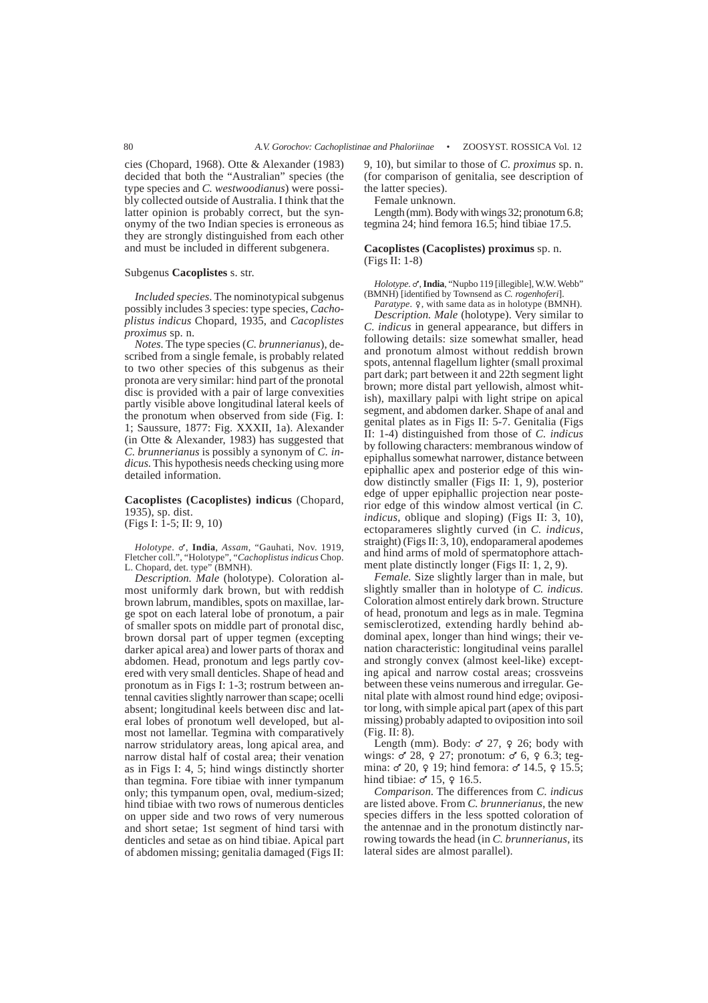cies (Chopard, 1968). Otte & Alexander (1983) decided that both the "Australian" species (the type species and *C. westwoodianus*) were possibly collected outside of Australia. I think that the latter opinion is probably correct, but the synonymy of the two Indian species is erroneous as they are strongly distinguished from each other and must be included in different subgenera.

#### Subgenus **Cacoplistes** s. str.

*Included species*. The nominotypical subgenus possibly includes 3 species: type species, *Cachoplistus indicus* Chopard, 1935, and *Cacoplistes proximus* sp. n.

*Notes.* The type species (*C. brunnerianus*), described from a single female, is probably related to two other species of this subgenus as their pronota are very similar: hind part of the pronotal disc is provided with a pair of large convexities partly visible above longitudinal lateral keels of the pronotum when observed from side (Fig. I: 1; Saussure, 1877: Fig. XXXII, 1a). Alexander (in Otte & Alexander, 1983) has suggested that *C. brunnerianus* is possibly a synonym of *C. indicus*. This hypothesis needs checking using more detailed information.

# **Cacoplistes (Cacoplistes) indicus** (Chopard, 1935), sp. dist.

(Figs I: 1-5; II: 9, 10)

*Holotype*. M, **India**, *Assam*, "Gauhati, Nov. 1919, Fletcher coll.", "Holotype", "*Cachoplistus indicus* Chop. L. Chopard, det. type" (BMNH).

*Description. Male* (holotype). Coloration almost uniformly dark brown, but with reddish brown labrum, mandibles, spots on maxillae, large spot on each lateral lobe of pronotum, a pair of smaller spots on middle part of pronotal disc, brown dorsal part of upper tegmen (excepting darker apical area) and lower parts of thorax and abdomen. Head, pronotum and legs partly covered with very small denticles. Shape of head and pronotum as in Figs I: 1-3; rostrum between antennal cavities slightly narrower than scape; ocelli absent; longitudinal keels between disc and lateral lobes of pronotum well developed, but almost not lamellar. Tegmina with comparatively narrow stridulatory areas, long apical area, and narrow distal half of costal area; their venation as in Figs I: 4, 5; hind wings distinctly shorter than tegmina. Fore tibiae with inner tympanum only; this tympanum open, oval, medium-sized; hind tibiae with two rows of numerous denticles on upper side and two rows of very numerous and short setae; 1st segment of hind tarsi with denticles and setae as on hind tibiae. Apical part of abdomen missing; genitalia damaged (Figs II: 9, 10), but similar to those of *C. proximus* sp. n. (for comparison of genitalia, see description of the latter species).

Female unknown.

Length (mm). Body with wings 32; pronotum 6.8; tegmina 24; hind femora 16.5; hind tibiae 17.5.

### **Cacoplistes (Cacoplistes) proximus** sp. n. (Figs II: 1-8)

*Holotype*. o', **India**, "Nupbo 119 [illegible], W.W. Webb" (BMNH) [identified by Townsend as *C. rogenhoferi*]. Paratype. 9, with same data as in holotype (BMNH).

*Description. Male* (holotype). Very similar to *C. indicus* in general appearance, but differs in following details: size somewhat smaller, head and pronotum almost without reddish brown spots, antennal flagellum lighter (small proximal part dark; part between it and 22th segment light brown; more distal part yellowish, almost whitish), maxillary palpi with light stripe on apical segment, and abdomen darker. Shape of anal and genital plates as in Figs II: 5-7. Genitalia (Figs II: 1-4) distinguished from those of *C. indicus* by following characters: membranous window of epiphallus somewhat narrower, distance between epiphallic apex and posterior edge of this window distinctly smaller (Figs II: 1, 9), posterior edge of upper epiphallic projection near posterior edge of this window almost vertical (in *C. indicus*, oblique and sloping) (Figs II: 3, 10), ectoparameres slightly curved (in *C. indicus*, straight) (Figs II: 3, 10), endoparameral apodemes and hind arms of mold of spermatophore attachment plate distinctly longer (Figs II: 1, 2, 9).

*Female.* Size slightly larger than in male, but slightly smaller than in holotype of *C. indicus.* Coloration almost entirely dark brown. Structure of head, pronotum and legs as in male. Tegmina semisclerotized, extending hardly behind abdominal apex, longer than hind wings; their venation characteristic: longitudinal veins parallel and strongly convex (almost keel-like) excepting apical and narrow costal areas; crossveins between these veins numerous and irregular. Genital plate with almost round hind edge; ovipositor long, with simple apical part (apex of this part missing) probably adapted to oviposition into soil (Fig. II: 8).

Length (mm). Body:  $\sigma$ <sup>27</sup>,  $\varphi$  26; body with wings:  $\sigma$  28,  $\varphi$  27; pronotum:  $\sigma$  6,  $\varphi$  6.3; tegmina:  $\sigma$  20,  $\varphi$  19; hind femora:  $\sigma$  14.5,  $\varphi$  15.5; hind tibiae:  $\sigma$  15,  $\varphi$  16.5.

*Comparison*. The differences from *C. indicus* are listed above. From *C. brunnerianus*, the new species differs in the less spotted coloration of the antennae and in the pronotum distinctly narrowing towards the head (in *C. brunnerianus*, its lateral sides are almost parallel).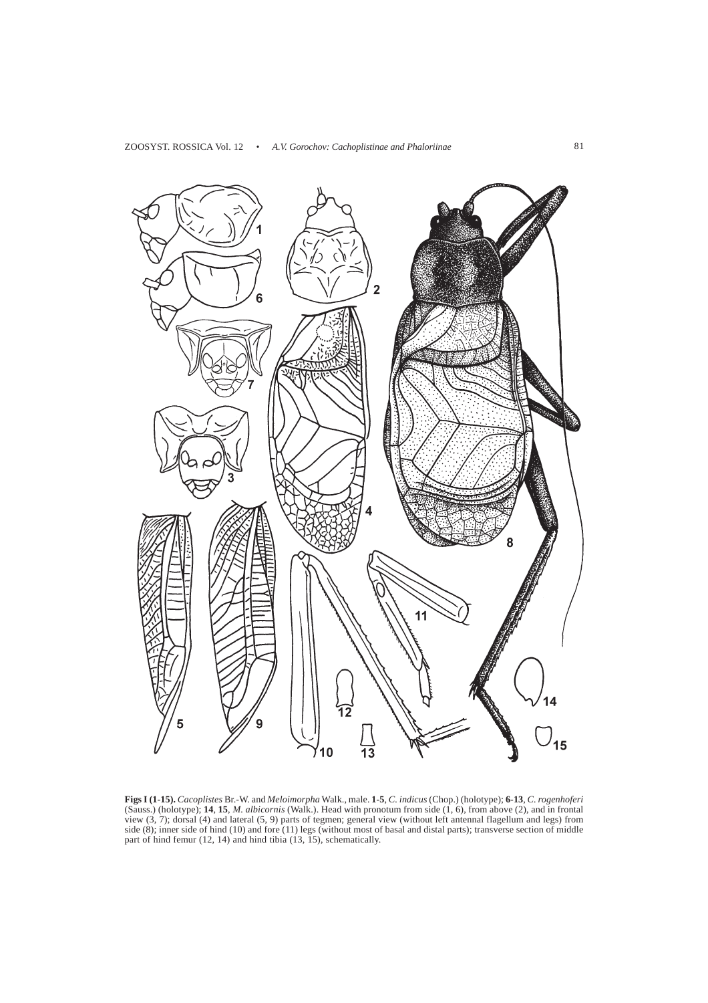

**Figs I (1-15).** *Cacoplistes* Br.-W. and *Meloimorpha* Walk., male. **1-5**, *C. indicus* (Chop.) (holotype); **6-13**, *C. rogenhoferi* (Sauss.) (holotype); **14**, **15**, *M. albicornis* (Walk.). Head with pronotum from side (1, 6), from above (2), and in frontal view (3, 7); dorsal (4) and lateral (5, 9) parts of tegmen; general view (without left antennal flagellum and legs) from side (8); inner side of hind (10) and fore (11) legs (without most of basal and distal parts); transverse section of middle part of hind femur (12, 14) and hind tibia (13, 15), schematically.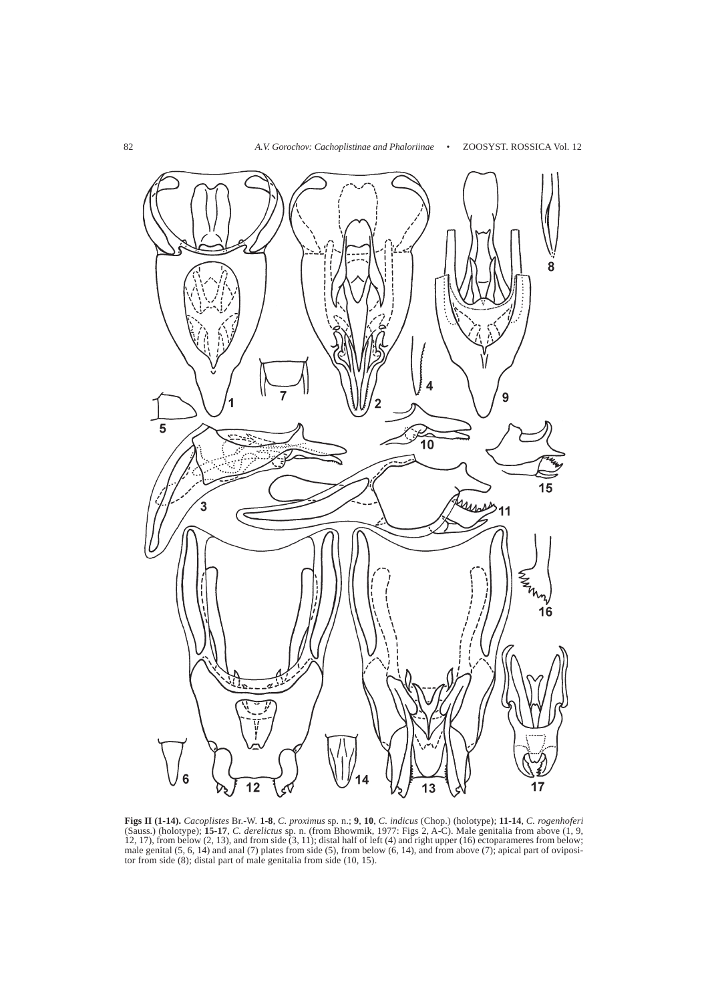

**Figs II (1-14).** *Cacoplistes* Br.-W. **1-8**, *C. proximus* sp. n.; **9**, **10**, *C. indicus* (Chop.) (holotype); **11-14**, *C. rogenhoferi* (Sauss.) (holotype); **15-17**, *C. derelictus* sp. n. (from Bhowmik, 1977: Figs 2, A-C). Male genitalia from above (1, 9, 12, 17), from below  $(2, 13)$ , and from side  $(3, 11)$ ; distal half of left  $(4)$  and right upper  $(16)$  ectoparameres from below; male genital (5, 6, 14) and anal (7) plates from side (5), from below (6, 14), and from above (7); apical part of ovipositor from side (8); distal part of male genitalia from side (10, 15).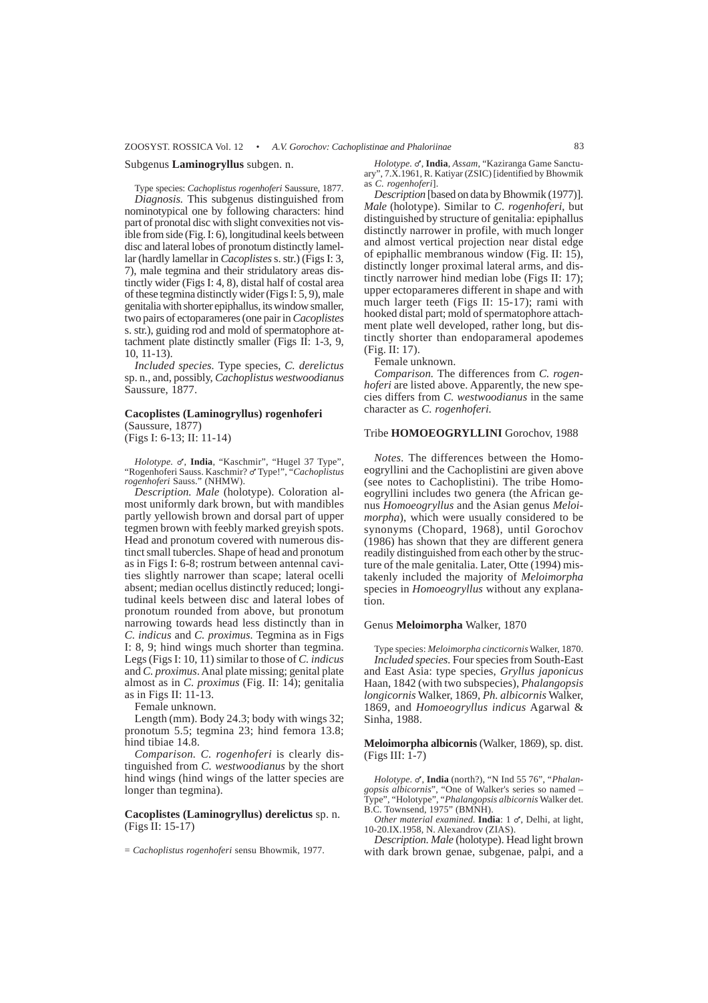Subgenus **Laminogryllus** subgen. n.

Type species: *Cachoplistus rogenhoferi* Saussure, 1877. *Diagnosis.* This subgenus distinguished from nominotypical one by following characters: hind part of pronotal disc with slight convexities not visible from side (Fig. I: 6), longitudinal keels between disc and lateral lobes of pronotum distinctly lamellar (hardly lamellar in *Cacoplistes* s. str.) (Figs I: 3, 7), male tegmina and their stridulatory areas distinctly wider (Figs I: 4, 8), distal half of costal area of these tegmina distinctly wider (Figs I: 5, 9), male genitalia with shorter epiphallus, its window smaller, two pairs of ectoparameres (one pair in *Cacoplistes* s. str.), guiding rod and mold of spermatophore attachment plate distinctly smaller (Figs II: 1-3, 9, 10, 11-13).

*Included species.* Type species, *C. derelictus* sp. n., and, possibly, *Cachoplistus westwoodianus* Saussure, 1877.

# **Cacoplistes (Laminogryllus) rogenhoferi**

(Saussure, 1877) (Figs I: 6-13; II: 11-14)

Holotype. o', India, "Kaschmir", "Hugel 37 Type", "Rogenhoferi Sauss. Kaschmir? o' Type!", "Cachoplistus *rogenhoferi* Sauss." (NHMW).

*Description. Male* (holotype). Coloration almost uniformly dark brown, but with mandibles partly yellowish brown and dorsal part of upper tegmen brown with feebly marked greyish spots. Head and pronotum covered with numerous distinct small tubercles. Shape of head and pronotum as in Figs I: 6-8; rostrum between antennal cavities slightly narrower than scape; lateral ocelli absent; median ocellus distinctly reduced; longitudinal keels between disc and lateral lobes of pronotum rounded from above, but pronotum narrowing towards head less distinctly than in *C. indicus* and *C. proximus.* Tegmina as in Figs I: 8, 9; hind wings much shorter than tegmina. Legs (Figs I: 10, 11) similar to those of *C. indicus* and *C. proximus*. Anal plate missing; genital plate almost as in *C. proximus* (Fig. II: 14); genitalia as in Figs II: 11-13.

Female unknown.

Length (mm). Body 24.3; body with wings 32; pronotum 5.5; tegmina 23; hind femora 13.8; hind tibiae 14.8.

*Comparison. C. rogenhoferi* is clearly distinguished from *C. westwoodianus* by the short hind wings (hind wings of the latter species are longer than tegmina).

## **Cacoplistes (Laminogryllus) derelictus** sp. n. (Figs II: 15-17)

= *Cachoplistus rogenhoferi* sensu Bhowmik, 1977.

*Holotype.*  $\sigma$ , *India, Assam*, "Kaziranga Game Sanctuary", 7.X.1961, R. Katiyar (ZSIC) [identified by Bhowmik as *C. rogenhoferi*].

*Description* [based on data by Bhowmik (1977)]. *Male* (holotype). Similar to *C. rogenhoferi*, but distinguished by structure of genitalia: epiphallus distinctly narrower in profile, with much longer and almost vertical projection near distal edge of epiphallic membranous window (Fig. II: 15), distinctly longer proximal lateral arms, and distinctly narrower hind median lobe (Figs II: 17); upper ectoparameres different in shape and with much larger teeth (Figs II: 15-17); rami with hooked distal part; mold of spermatophore attachment plate well developed, rather long, but distinctly shorter than endoparameral apodemes (Fig. II: 17).

Female unknown.

*Comparison.* The differences from *C. rogenhoferi* are listed above. Apparently, the new species differs from *C. westwoodianus* in the same character as *C. rogenhoferi.*

#### Tribe **HOMOEOGRYLLINI** Gorochov, 1988

*Notes.* The differences between the Homoeogryllini and the Cachoplistini are given above (see notes to Cachoplistini). The tribe Homoeogryllini includes two genera (the African genus *Homoeogryllus* and the Asian genus *Meloimorpha*), which were usually considered to be synonyms (Chopard, 1968), until Gorochov (1986) has shown that they are different genera readily distinguished from each other by the structure of the male genitalia. Later, Otte (1994) mistakenly included the majority of *Meloimorpha* species in *Homoeogryllus* without any explanation.

## Genus **Meloimorpha** Walker, 1870

Type species: *Meloimorpha cincticornis* Walker, 1870. *Included species.* Four species from South-East and East Asia: type species, *Gryllus japonicus* Haan, 1842 (with two subspecies), *Phalangopsis longicornis* Walker, 1869, *Ph. albicornis* Walker, 1869, and *Homoeogryllus indicus* Agarwal & Sinha, 1988.

**Meloimorpha albicornis** (Walker, 1869), sp. dist. (Figs III: 1-7)

*Holotype.*  $\sigma'$ , **India** (north?), "N Ind 55 76", "*Phalangopsis albicornis*", "One of Walker's series so named – Type", "Holotype", "*Phalangopsis albicornis* Walker det. B.C. Townsend, 1975" (BMNH).

*Other material examined.* India: 1  $\sigma$ , Delhi, at light, 10-20.IX.1958, N. Alexandrov (ZIAS).

*Description*. *Male* (holotype). Head light brown with dark brown genae, subgenae, palpi, and a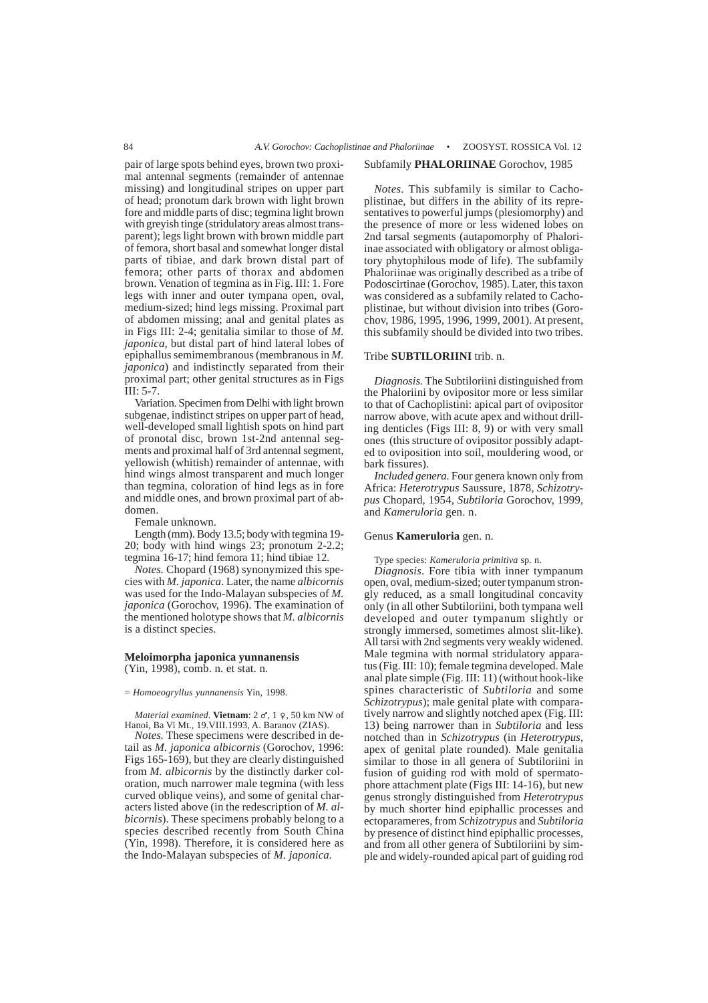pair of large spots behind eyes, brown two proximal antennal segments (remainder of antennae missing) and longitudinal stripes on upper part of head; pronotum dark brown with light brown fore and middle parts of disc; tegmina light brown with greyish tinge (stridulatory areas almost transparent); legs light brown with brown middle part of femora, short basal and somewhat longer distal parts of tibiae, and dark brown distal part of femora; other parts of thorax and abdomen brown. Venation of tegmina as in Fig. III: 1. Fore legs with inner and outer tympana open, oval, medium-sized; hind legs missing. Proximal part of abdomen missing; anal and genital plates as in Figs III: 2-4; genitalia similar to those of *M. japonica*, but distal part of hind lateral lobes of epiphallus semimembranous (membranous in *M. japonica*) and indistinctly separated from their proximal part; other genital structures as in Figs III $\cdot$  5-7.

Variation. Specimen from Delhi with light brown subgenae, indistinct stripes on upper part of head, well-developed small lightish spots on hind part of pronotal disc, brown 1st-2nd antennal segments and proximal half of 3rd antennal segment, yellowish (whitish) remainder of antennae, with hind wings almost transparent and much longer than tegmina, coloration of hind legs as in fore and middle ones, and brown proximal part of abdomen.

Female unknown.

Length (mm). Body 13.5; body with tegmina 19- 20; body with hind wings 23; pronotum 2-2.2; tegmina 16-17; hind femora 11; hind tibiae 12.

*Notes.* Chopard (1968) synonymized this species with *M. japonica*. Later, the name *albicornis* was used for the Indo-Malayan subspecies of *M. japonica* (Gorochov, 1996). The examination of the mentioned holotype shows that *M. albicornis* is a distinct species.

### **Meloimorpha japonica yunnanensis** (Yin, 1998), comb. n. et stat. n.

= *Homoeogryllus yunnanensis* Yin, 1998.

*Material examined.* Vietnam: 2  $\sigma$ , 1 9, 50 km NW of Hanoi, Ba Vi Mt., 19.VIII.1993, A. Baranov (ZIAS).

*Notes.* These specimens were described in detail as *M. japonica albicornis* (Gorochov, 1996: Figs 165-169), but they are clearly distinguished from *M. albicornis* by the distinctly darker coloration, much narrower male tegmina (with less curved oblique veins), and some of genital characters listed above (in the redescription of *M. albicornis*). These specimens probably belong to a species described recently from South China (Yin, 1998). Therefore, it is considered here as the Indo-Malayan subspecies of *M. japonica.*

# Subfamily **PHALORIINAE** Gorochov, 1985

*Notes.* This subfamily is similar to Cachoplistinae, but differs in the ability of its representatives to powerful jumps (plesiomorphy) and the presence of more or less widened lobes on 2nd tarsal segments (autapomorphy of Phaloriinae associated with obligatory or almost obligatory phytophilous mode of life). The subfamily Phaloriinae was originally described as a tribe of Podoscirtinae (Gorochov, 1985). Later, this taxon was considered as a subfamily related to Cachoplistinae, but without division into tribes (Gorochov, 1986, 1995, 1996, 1999, 2001). At present, this subfamily should be divided into two tribes.

# Tribe **SUBTILORIINI** trib. n.

*Diagnosis.* The Subtiloriini distinguished from the Phaloriini by ovipositor more or less similar to that of Cachoplistini: apical part of ovipositor narrow above, with acute apex and without drilling denticles (Figs III:  $8, 9$ ) or with very small ones (this structure of ovipositor possibly adapted to oviposition into soil, mouldering wood, or bark fissures).

*Included genera.* Four genera known only from Africa: *Heterotrypus* Saussure, 1878, *Schizotrypus* Chopard, 1954, *Subtiloria* Gorochov, 1999, and *Kameruloria* gen. n.

#### Genus **Kameruloria** gen. n.

Type species: *Kameruloria primitiva* sp. n. *Diagnosis*. Fore tibia with inner tympanum open, oval, medium-sized; outer tympanum strongly reduced, as a small longitudinal concavity only (in all other Subtiloriini, both tympana well developed and outer tympanum slightly or strongly immersed, sometimes almost slit-like). All tarsi with 2nd segments very weakly widened. Male tegmina with normal stridulatory apparatus (Fig. III: 10); female tegmina developed. Male anal plate simple (Fig. III: 11) (without hook-like spines characteristic of *Subtiloria* and some *Schizotrypus*); male genital plate with comparatively narrow and slightly notched apex (Fig. III: 13) being narrower than in *Subtiloria* and less notched than in *Schizotrypus* (in *Heterotrypus*, apex of genital plate rounded). Male genitalia similar to those in all genera of Subtiloriini in fusion of guiding rod with mold of spermatophore attachment plate (Figs III: 14-16), but new genus strongly distinguished from *Heterotrypus* by much shorter hind epiphallic processes and ectoparameres, from *Schizotrypus* and *Subtiloria* by presence of distinct hind epiphallic processes, and from all other genera of Subtiloriini by simple and widely-rounded apical part of guiding rod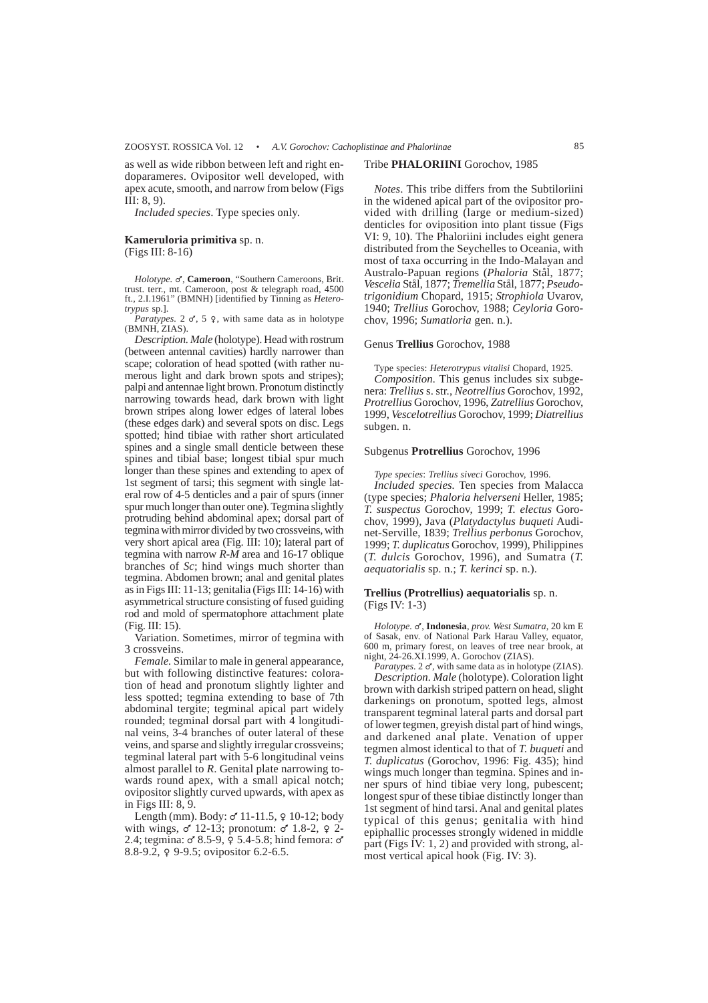as well as wide ribbon between left and right endoparameres. Ovipositor well developed, with apex acute, smooth, and narrow from below (Figs III: 8, 9).

*Included species*. Type species only.

### **Kameruloria primitiva** sp. n. (Figs III: 8-16)

Holotype. &, Cameroon, "Southern Cameroons, Brit. trust. terr., mt. Cameroon, post & telegraph road, 4500 ft., 2.I.1961" (BMNH) [identified by Tinning as *Heterotrypus* sp.].

*Paratypes.* 2  $\sigma$ , 5  $\Omega$ , with same data as in holotype (BMNH, ZIAS).

*Description. Male* (holotype). Head with rostrum (between antennal cavities) hardly narrower than scape; coloration of head spotted (with rather numerous light and dark brown spots and stripes); palpi and antennae light brown. Pronotum distinctly narrowing towards head, dark brown with light brown stripes along lower edges of lateral lobes (these edges dark) and several spots on disc. Legs spotted; hind tibiae with rather short articulated spines and a single small denticle between these spines and tibial base; longest tibial spur much longer than these spines and extending to apex of 1st segment of tarsi; this segment with single lateral row of 4-5 denticles and a pair of spurs (inner spur much longer than outer one). Tegmina slightly protruding behind abdominal apex; dorsal part of tegmina with mirror divided by two crossveins, with very short apical area (Fig. III: 10); lateral part of tegmina with narrow *R-M* area and 16-17 oblique branches of *Sc*; hind wings much shorter than tegmina. Abdomen brown; anal and genital plates as in Figs III: 11-13; genitalia (Figs III: 14-16) with asymmetrical structure consisting of fused guiding rod and mold of spermatophore attachment plate (Fig. III: 15).

Variation. Sometimes, mirror of tegmina with 3 crossveins.

*Female.* Similar to male in general appearance, but with following distinctive features: coloration of head and pronotum slightly lighter and less spotted; tegmina extending to base of 7th abdominal tergite; tegminal apical part widely rounded; tegminal dorsal part with 4 longitudinal veins, 3-4 branches of outer lateral of these veins, and sparse and slightly irregular crossveins; tegminal lateral part with 5-6 longitudinal veins almost parallel to *R*. Genital plate narrowing towards round apex, with a small apical notch; ovipositor slightly curved upwards, with apex as in Figs III: 8, 9.

Length (mm). Body:  $\sigma'$  11-11.5,  $\varphi$  10-12; body with wings,  $\sigma$  12-13; pronotum:  $\sigma$  1.8-2,  $\varphi$  2-2.4; tegmina:  $\sigma$  8.5-9,  $\frac{1}{2}$  5.4-5.8; hind femora:  $\sigma$ 8.8-9.2,  $\varphi$  9-9.5; ovipositor 6.2-6.5.

# Tribe **PHALORIINI** Gorochov, 1985

*Notes*. This tribe differs from the Subtiloriini in the widened apical part of the ovipositor provided with drilling (large or medium-sized) denticles for oviposition into plant tissue (Figs VI: 9, 10). The Phaloriini includes eight genera distributed from the Seychelles to Oceania, with most of taxa occurring in the Indo-Malayan and Australo-Papuan regions (*Phaloria* Stål, 1877; *Vescelia* Stål, 1877; *Tremellia* Stål, 1877; *Pseudotrigonidium* Chopard, 1915; *Strophiola* Uvarov, 1940; *Trellius* Gorochov, 1988; *Ceyloria* Gorochov, 1996; *Sumatloria* gen. n.).

### Genus **Trellius** Gorochov, 1988

Type species: *Heterotrypus vitalisi* Chopard, 1925. *Composition.* This genus includes six subgenera: *Trellius* s. str., *Neotrellius* Gorochov, 1992, *Protrellius* Gorochov, 1996, *Zatrellius* Gorochov, 1999, *Vescelotrellius* Gorochov, 1999; *Diatrellius* subgen. n.

### Subgenus **Protrellius** Gorochov, 1996

*Type species*: *Trellius siveci* Gorochov, 1996.

*Included species.* Ten species from Malacca (type species; *Phaloria helverseni* Heller, 1985; *T. suspectus* Gorochov, 1999; *T. electus* Gorochov, 1999), Java (*Platydactylus buqueti* Audinet-Serville, 1839; *Trellius perbonus* Gorochov, 1999; *T. duplicatus* Gorochov, 1999), Philippines (*T. dulcis* Gorochov, 1996), and Sumatra (*T. aequatorialis* sp. n.; *T. kerinci* sp. n.).

# **Trellius (Protrellius) aequatorialis** sp. n. (Figs IV: 1-3)

*Holotype.* M, **Indonesia**, *prov. West Sumatra*, 20 km E of Sasak, env. of National Park Harau Valley, equator, 600 m, primary forest, on leaves of tree near brook, at night, 24-26.XI.1999, A. Gorochov (ZIAS).

*Paratypes*. 2  $\sigma$ , with same data as in holotype (ZIAS). *Description. Male* (holotype). Coloration light brown with darkish striped pattern on head, slight darkenings on pronotum, spotted legs, almost transparent tegminal lateral parts and dorsal part of lower tegmen, greyish distal part of hind wings, and darkened anal plate. Venation of upper tegmen almost identical to that of *T. buqueti* and *T. duplicatus* (Gorochov, 1996: Fig. 435); hind wings much longer than tegmina. Spines and inner spurs of hind tibiae very long, pubescent; longest spur of these tibiae distinctly longer than 1st segment of hind tarsi. Anal and genital plates typical of this genus; genitalia with hind epiphallic processes strongly widened in middle part (Figs IV: 1, 2) and provided with strong, almost vertical apical hook (Fig. IV: 3).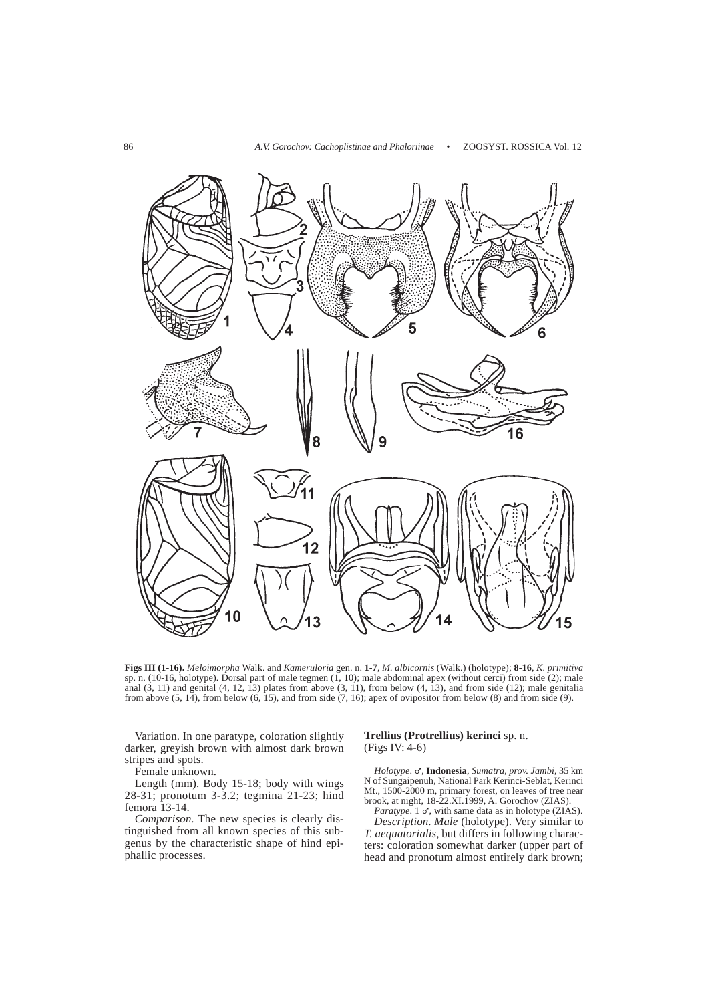

**Figs III (1-16).** *Meloimorpha* Walk. and *Kameruloria* gen. n. **1-7**, *M. albicornis* (Walk.) (holotype); **8-16**, *K. primitiva* sp. n. (10-16, holotype). Dorsal part of male tegmen (1, 10); male abdominal apex (without cerci) from side (2); male anal  $(3, 11)$  and genital  $(4, 12, 13)$  plates from above  $(3, 11)$ , from below  $(4, 13)$ , and from side  $(12)$ ; male genitalia from above  $(5, 14)$ , from below  $(6, 15)$ , and from side  $(7, 16)$ ; apex of ovipositor from below  $(8)$  and from side  $(9)$ .

Variation. In one paratype, coloration slightly darker, greyish brown with almost dark brown stripes and spots.

Female unknown.

Length (mm). Body 15-18; body with wings 28-31; pronotum 3-3.2; tegmina 21-23; hind femora 13-14.

*Comparison*. The new species is clearly distinguished from all known species of this subgenus by the characteristic shape of hind epiphallic processes.

# **Trellius (Protrellius) kerinci** sp. n. (Figs IV: 4-6)

*Holotype*. M, **Indonesia**, *Sumatra*, *prov. Jambi*, 35 km N of Sungaipenuh, National Park Kerinci-Seblat, Kerinci Mt., 1500-2000 m, primary forest, on leaves of tree near brook, at night, 18-22.XI.1999, A. Gorochov (ZIAS).

Paratype. 1 o', with same data as in holotype (ZIAS). *Description*. *Male* (holotype). Very similar to *T. aequatorialis*, but differs in following characters: coloration somewhat darker (upper part of head and pronotum almost entirely dark brown;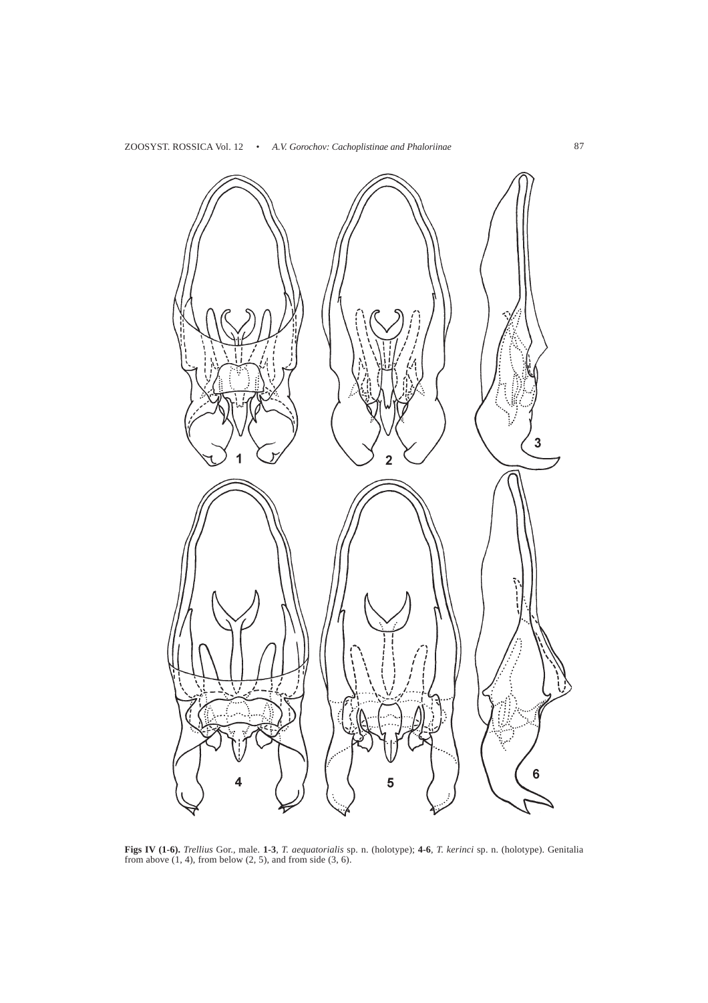

**Figs IV (1-6).** *Trellius* Gor., male. **1-3**, *T. aequatorialis* sp. n. (holotype); **4-6**, *T. kerinci* sp. n. (holotype). Genitalia from above  $(1, 4)$ , from below  $(2, 5)$ , and from side  $(3, 6)$ .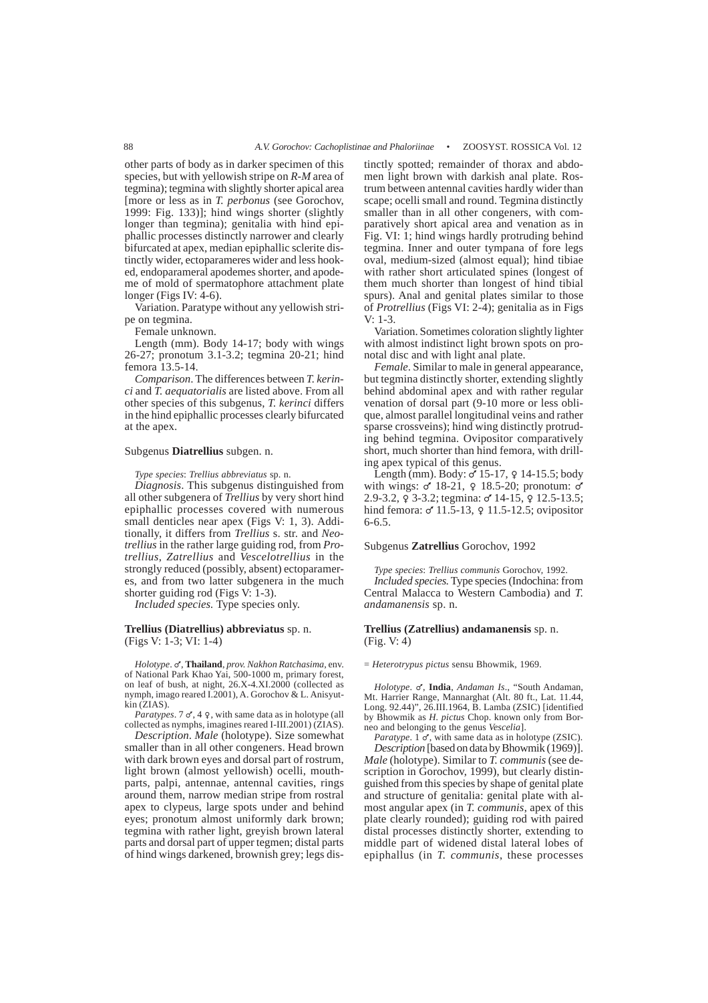other parts of body as in darker specimen of this species, but with yellowish stripe on *R-M* area of tegmina); tegmina with slightly shorter apical area [more or less as in *T. perbonus* (see Gorochov, 1999: Fig. 133)]; hind wings shorter (slightly longer than tegmina); genitalia with hind epiphallic processes distinctly narrower and clearly bifurcated at apex, median epiphallic sclerite distinctly wider, ectoparameres wider and less hooked, endoparameral apodemes shorter, and apodeme of mold of spermatophore attachment plate longer (Figs IV: 4-6).

Variation. Paratype without any yellowish stripe on tegmina.

Female unknown.

Length (mm). Body 14-17; body with wings 26-27; pronotum 3.1-3.2; tegmina 20-21; hind femora 13.5-14.

*Comparison*. The differences between *T. kerinci* and *T. aequatorialis* are listed above. From all other species of this subgenus, *T. kerinci* differs in the hind epiphallic processes clearly bifurcated at the apex.

### Subgenus **Diatrellius** subgen. n.

*Type species*: *Trellius abbreviatus* sp. n.

*Diagnosis*. This subgenus distinguished from all other subgenera of *Trellius* by very short hind epiphallic processes covered with numerous small denticles near apex (Figs V: 1, 3). Additionally, it differs from *Trellius* s. str. and *Neotrellius* in the rather large guiding rod, from *Protrellius*, *Zatrellius* and *Vescelotrellius* in the strongly reduced (possibly, absent) ectoparameres, and from two latter subgenera in the much shorter guiding rod (Figs V: 1-3).

*Included species.* Type species only.

### **Trellius (Diatrellius) abbreviatus** sp. n. (Figs V: 1-3; VI: 1-4)

*Holotype*.  $\sigma'$ , **Thailand**, *prov. Nakhon Ratchasima*, env. of National Park Khao Yai, 500-1000 m, primary forest, on leaf of bush, at night, 26.X-4.XI.2000 (collected as nymph, imago reared I.2001), A. Gorochov & L. Anisyutkin (ZIAS).

*Paratypes*.  $7 \circ 7$ ,  $4 \circ 7$ , with same data as in holotype (all collected as nymphs, imagines reared I-III.2001) (ZIAS).

*Description*. *Male* (holotype). Size somewhat smaller than in all other congeners. Head brown with dark brown eyes and dorsal part of rostrum, light brown (almost yellowish) ocelli, mouthparts, palpi, antennae, antennal cavities, rings around them, narrow median stripe from rostral apex to clypeus, large spots under and behind eyes; pronotum almost uniformly dark brown; tegmina with rather light, greyish brown lateral parts and dorsal part of upper tegmen; distal parts of hind wings darkened, brownish grey; legs distinctly spotted; remainder of thorax and abdomen light brown with darkish anal plate. Rostrum between antennal cavities hardly wider than scape; ocelli small and round. Tegmina distinctly smaller than in all other congeners, with comparatively short apical area and venation as in Fig. VI: 1; hind wings hardly protruding behind tegmina. Inner and outer tympana of fore legs oval, medium-sized (almost equal); hind tibiae with rather short articulated spines (longest of them much shorter than longest of hind tibial spurs). Anal and genital plates similar to those of *Protrellius* (Figs VI: 2-4); genitalia as in Figs V: 1-3.

Variation. Sometimes coloration slightly lighter with almost indistinct light brown spots on pronotal disc and with light anal plate.

*Female*. Similar to male in general appearance, but tegmina distinctly shorter, extending slightly behind abdominal apex and with rather regular venation of dorsal part (9-10 more or less oblique, almost parallel longitudinal veins and rather sparse crossveins); hind wing distinctly protruding behind tegmina. Ovipositor comparatively short, much shorter than hind femora, with drilling apex typical of this genus.

Length (mm). Body:  $\sigma$  15-17,  $\varphi$  14-15.5; body with wings:  $\sigma$  18-21,  $\varphi$  18.5-20; pronotum:  $\sigma$ 2.9-3.2,  $\varphi$  3-3.2; tegmina: of 14-15,  $\varphi$  12.5-13.5; hind femora:  $\sigma$  11.5-13,  $\varphi$  11.5-12.5; ovipositor 6-6.5.

#### Subgenus **Zatrellius** Gorochov, 1992

*Type species*: *Trellius communis* Gorochov, 1992. *Included species.* Type species (Indochina: from Central Malacca to Western Cambodia) and *T. andamanensis* sp. n.

### **Trellius (Zatrellius) andamanensis** sp. n. (Fig. V: 4)

### = *Heterotrypus pictus* sensu Bhowmik, 1969.

*Holotype.*  $\sigma'$ , *India, Andaman Is.*, "South Andaman, Mt. Harrier Range, Mannarghat (Alt. 80 ft., Lat. 11.44, Long. 92.44)", 26.III.1964, B. Lamba (ZSIC) [identified by Bhowmik as *H. pictus* Chop. known only from Borneo and belonging to the genus *Vescelia*].

*Paratype*. 1  $\sigma'$ , with same data as in holotype (ZSIC). *Description* [based on data by Bhowmik (1969)]. *Male* (holotype). Similar to *T. communis* (see description in Gorochov, 1999), but clearly distinguished from this species by shape of genital plate and structure of genitalia: genital plate with almost angular apex (in *T. communis*, apex of this plate clearly rounded); guiding rod with paired distal processes distinctly shorter, extending to middle part of widened distal lateral lobes of epiphallus (in *T. communis*, these processes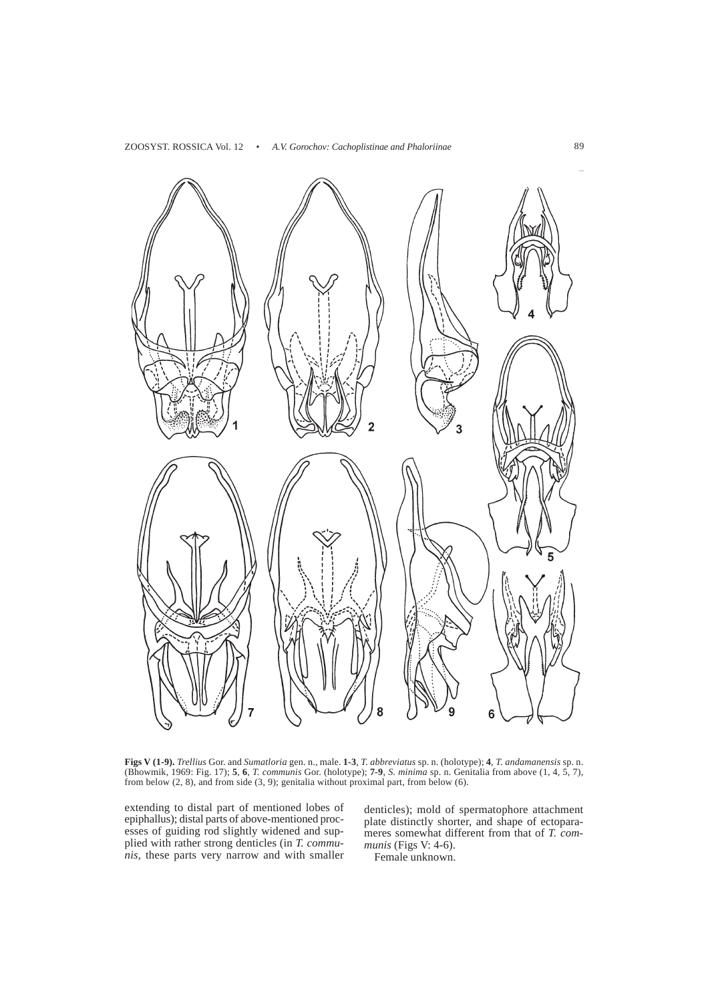

**Figs V (1-9).** *Trellius* Gor. and *Sumatloria* gen. n., male. **1-3**, *T. abbreviatus* sp. n. (holotype); **4**, *T. andamanensis* sp. n. (Bhowmik, 1969: Fig. 17); **5**, **6**, *T. communis* Gor. (holotype); **7-9**, *S. minima* sp. n. Genitalia from above (1, 4, 5, 7), from below  $(2, 8)$ , and from side  $(3, 9)$ ; genitalia without proximal part, from below  $(6)$ .

extending to distal part of mentioned lobes of epiphallus); distal parts of above-mentioned processes of guiding rod slightly widened and supplied with rather strong denticles (in *T. communis*, these parts very narrow and with smaller

denticles); mold of spermatophore attachment plate distinctly shorter, and shape of ectoparameres somewhat different from that of *T. communis* (Figs V: 4-6).

Female unknown.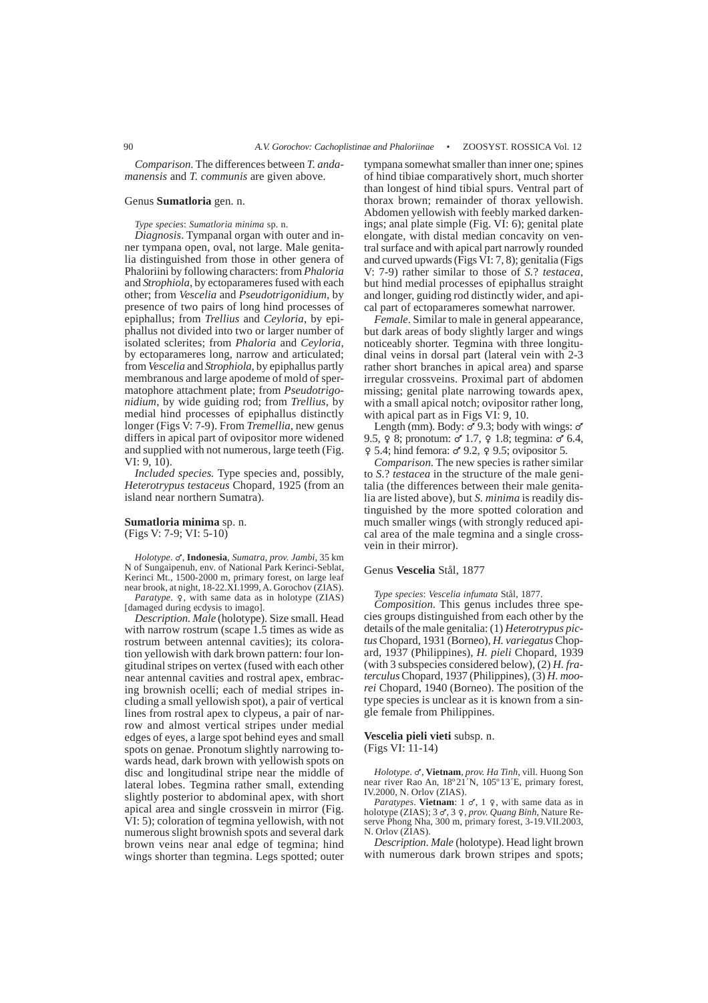*Comparison*. The differences between *T. andamanensis* and *T. communis* are given above.

# Genus **Sumatloria** gen. n.

*Type species*: *Sumatloria minima* sp. n.

*Diagnosis*. Tympanal organ with outer and inner tympana open, oval, not large. Male genitalia distinguished from those in other genera of Phaloriini by following characters: from *Phaloria* and *Strophiola*, by ectoparameres fused with each other; from *Vescelia* and *Pseudotrigonidium*, by presence of two pairs of long hind processes of epiphallus; from *Trellius* and *Ceyloria*, by epiphallus not divided into two or larger number of isolated sclerites; from *Phaloria* and *Ceyloria*, by ectoparameres long, narrow and articulated; from *Vescelia* and *Strophiola*, by epiphallus partly membranous and large apodeme of mold of spermatophore attachment plate; from *Pseudotrigonidium*, by wide guiding rod; from *Trellius*, by medial hind processes of epiphallus distinctly longer (Figs  $\hat{V}$ : 7-9). From *Tremellia*, new genus differs in apical part of ovipositor more widened and supplied with not numerous, large teeth (Fig.  $VI: 9, 10$ .

*Included species.* Type species and, possibly, *Heterotrypus testaceus* Chopard, 1925 (from an island near northern Sumatra).

**Sumatloria minima** sp. n. (Figs V: 7-9; VI: 5-10)

*Holotype*. M, **Indonesia**, *Sumatra, prov. Jambi*, 35 km N of Sungaipenuh, env. of National Park Kerinci-Seblat, Kerinci Mt., 1500-2000 m, primary forest, on large leaf near brook, at night, 18-22.XI.1999, A. Gorochov (ZIAS). Paratype. 9, with same data as in holotype (ZIAS) [damaged during ecdysis to imago].

*Description. Male* (holotype). Size small. Head with narrow rostrum (scape 1.5 times as wide as rostrum between antennal cavities); its coloration yellowish with dark brown pattern: four longitudinal stripes on vertex (fused with each other near antennal cavities and rostral apex, embracing brownish ocelli; each of medial stripes including a small yellowish spot), a pair of vertical lines from rostral apex to clypeus, a pair of narrow and almost vertical stripes under medial edges of eyes, a large spot behind eyes and small spots on genae. Pronotum slightly narrowing towards head, dark brown with yellowish spots on disc and longitudinal stripe near the middle of lateral lobes. Tegmina rather small, extending slightly posterior to abdominal apex, with short apical area and single crossvein in mirror (Fig. VI: 5); coloration of tegmina yellowish, with not numerous slight brownish spots and several dark brown veins near anal edge of tegmina; hind wings shorter than tegmina. Legs spotted; outer tympana somewhat smaller than inner one; spines of hind tibiae comparatively short, much shorter than longest of hind tibial spurs. Ventral part of thorax brown; remainder of thorax yellowish. Abdomen yellowish with feebly marked darkenings; anal plate simple (Fig. VI: 6); genital plate elongate, with distal median concavity on ventral surface and with apical part narrowly rounded and curved upwards (Figs VI: 7, 8); genitalia (Figs V: 7-9) rather similar to those of *S.*? *testacea*, but hind medial processes of epiphallus straight and longer, guiding rod distinctly wider, and apical part of ectoparameres somewhat narrower.

*Female*. Similar to male in general appearance, but dark areas of body slightly larger and wings noticeably shorter. Tegmina with three longitudinal veins in dorsal part (lateral vein with 2-3 rather short branches in apical area) and sparse irregular crossveins. Proximal part of abdomen missing; genital plate narrowing towards apex, with a small apical notch; ovipositor rather long, with apical part as in Figs VI: 9, 10.

Length (mm). Body:  $\sigma'$  9.3; body with wings:  $\sigma'$ 9.5,  $\varphi$  8; pronotum:  $\sigma$  1.7,  $\varphi$  1.8; tegmina:  $\sigma$  6.4,  $9.5.4$ ; hind femora:  $\sigma$  9.2,  $9.5$ ; ovipositor 5.

*Comparison*. The new species is rather similar to *S*.? *testacea* in the structure of the male genitalia (the differences between their male genitalia are listed above), but *S. minima* is readily distinguished by the more spotted coloration and much smaller wings (with strongly reduced apical area of the male tegmina and a single crossvein in their mirror).

#### Genus **Vescelia** Stål, 1877

*Type species*: *Vescelia infumata* Stål, 1877.

*Composition*. This genus includes three species groups distinguished from each other by the details of the male genitalia: (1) *Heterotrypus pictus* Chopard, 1931 (Borneo), *H. variegatus* Chopard, 1937 (Philippines), *H. pieli* Chopard, 1939 (with 3 subspecies considered below), (2) *H. fraterculus* Chopard, 1937 (Philippines), (3) *H. moorei* Chopard, 1940 (Borneo). The position of the type species is unclear as it is known from a single female from Philippines.

### **Vescelia pieli vieti** subsp. n. (Figs VI: 11-14)

*Holotype*.  $\sigma'$ , **Vietnam**, *prov. Ha Tinh*, vill. Huong Son near river Rao An, 18º21´N, 105º13´E, primary forest, IV.2000, N. Orlov (ZIAS).

*Paratypes*. **Vietnam**:  $1 \text{ } d$ ,  $1 \text{ } q$ , with same data as in holotype (ZIAS); 3 o', 3 9, prov. Quang Binh, Nature Reserve Phong Nha, 300 m, primary forest, 3-19.VII.2003, N. Orlov (ZIAS).

*Description*. *Male* (holotype). Head light brown with numerous dark brown stripes and spots;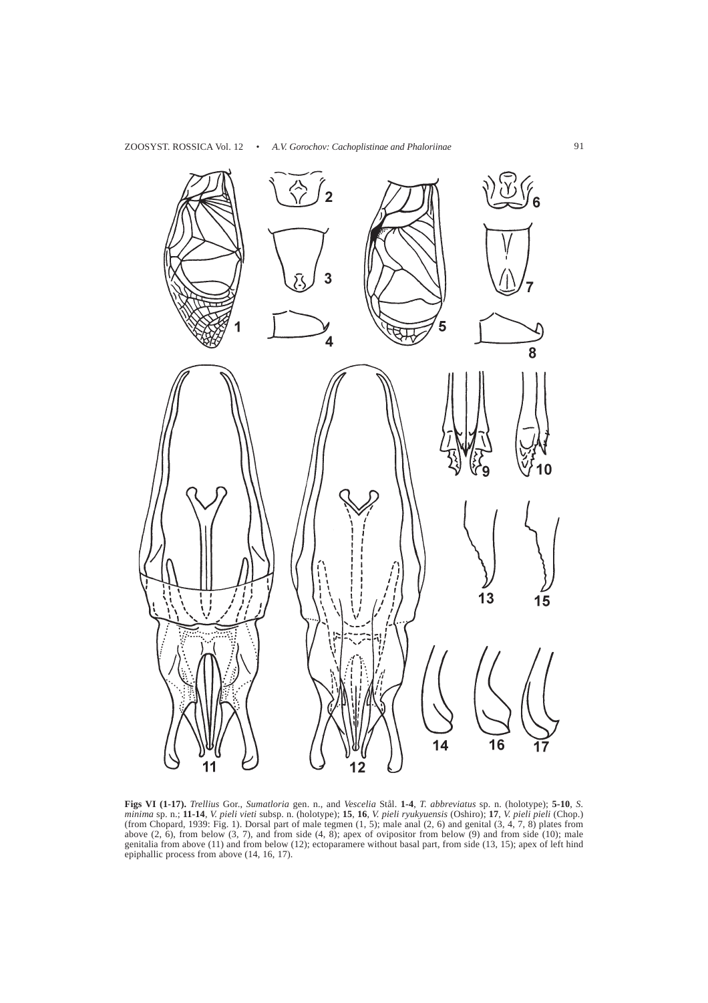

**Figs VI (1-17).** *Trellius* Gor., *Sumatloria* gen. n., and *Vescelia* Stål. **1-4**, *T. abbreviatus* sp. n. (holotype); **5-10**, *S. minima* sp. n.; **11-14**, *V. pieli vieti* subsp. n. (holotype); **15**, **16**, *V. pieli ryukyuensis* (Oshiro); **17**, *V. pieli pieli* (Chop.) (from Chopard, 1939: Fig. 1). Dorsal part of male tegmen (1, 5); male anal (2, 6) and genital (3, 4, 7, 8) plates from above  $(2, 6)$ , from below  $(3, 7)$ , and from side  $(4, 8)$ ; apex of ovipositor from below  $(9)$  and from side  $(10)$ ; male genitalia from above (11) and from below (12); ectoparamere without basal part, from side (13, 15); apex of left hind epiphallic process from above (14, 16, 17).